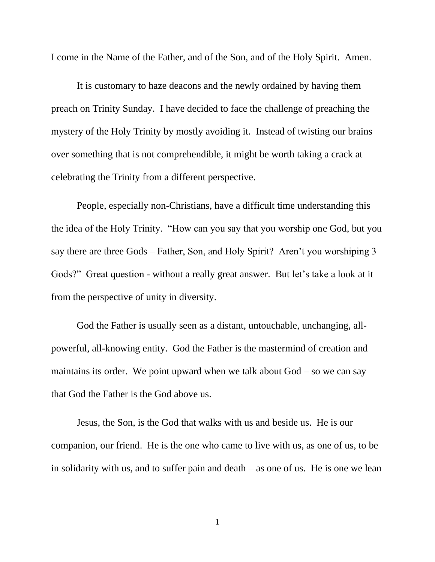I come in the Name of the Father, and of the Son, and of the Holy Spirit. Amen.

It is customary to haze deacons and the newly ordained by having them preach on Trinity Sunday. I have decided to face the challenge of preaching the mystery of the Holy Trinity by mostly avoiding it. Instead of twisting our brains over something that is not comprehendible, it might be worth taking a crack at celebrating the Trinity from a different perspective.

People, especially non-Christians, have a difficult time understanding this the idea of the Holy Trinity. "How can you say that you worship one God, but you say there are three Gods – Father, Son, and Holy Spirit? Aren't you worshiping 3 Gods?" Great question - without a really great answer. But let's take a look at it from the perspective of unity in diversity.

God the Father is usually seen as a distant, untouchable, unchanging, allpowerful, all-knowing entity. God the Father is the mastermind of creation and maintains its order. We point upward when we talk about  $God - so$  we can say that God the Father is the God above us.

Jesus, the Son, is the God that walks with us and beside us. He is our companion, our friend. He is the one who came to live with us, as one of us, to be in solidarity with us, and to suffer pain and death – as one of us. He is one we lean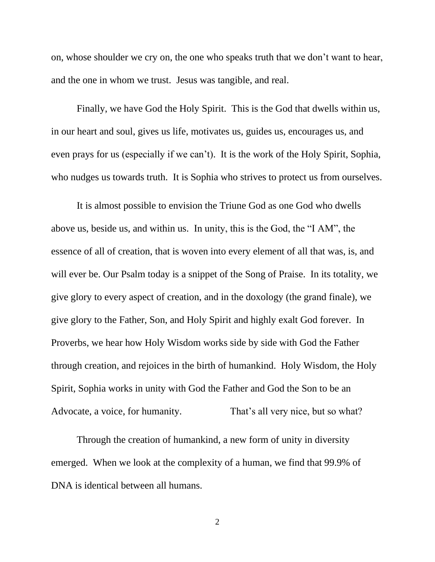on, whose shoulder we cry on, the one who speaks truth that we don't want to hear, and the one in whom we trust. Jesus was tangible, and real.

Finally, we have God the Holy Spirit. This is the God that dwells within us, in our heart and soul, gives us life, motivates us, guides us, encourages us, and even prays for us (especially if we can't). It is the work of the Holy Spirit, Sophia, who nudges us towards truth. It is Sophia who strives to protect us from ourselves.

It is almost possible to envision the Triune God as one God who dwells above us, beside us, and within us. In unity, this is the God, the "I AM", the essence of all of creation, that is woven into every element of all that was, is, and will ever be. Our Psalm today is a snippet of the Song of Praise. In its totality, we give glory to every aspect of creation, and in the doxology (the grand finale), we give glory to the Father, Son, and Holy Spirit and highly exalt God forever. In Proverbs, we hear how Holy Wisdom works side by side with God the Father through creation, and rejoices in the birth of humankind. Holy Wisdom, the Holy Spirit, Sophia works in unity with God the Father and God the Son to be an Advocate, a voice, for humanity. That's all very nice, but so what?

Through the creation of humankind, a new form of unity in diversity emerged. When we look at the complexity of a human, we find that 99.9% of DNA is identical between all humans.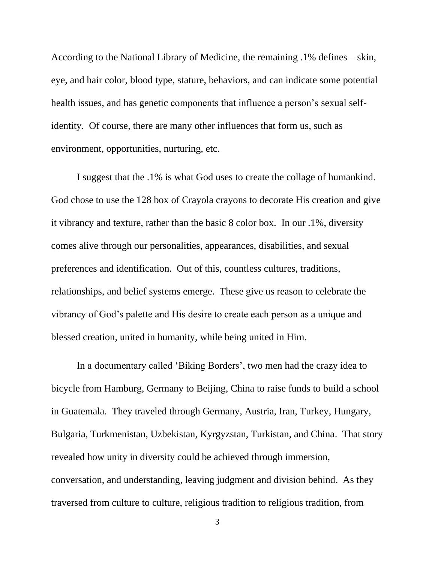According to the National Library of Medicine, the remaining .1% defines – skin, eye, and hair color, blood type, stature, behaviors, and can indicate some potential health issues, and has genetic components that influence a person's sexual selfidentity. Of course, there are many other influences that form us, such as environment, opportunities, nurturing, etc.

I suggest that the .1% is what God uses to create the collage of humankind. God chose to use the 128 box of Crayola crayons to decorate His creation and give it vibrancy and texture, rather than the basic 8 color box. In our .1%, diversity comes alive through our personalities, appearances, disabilities, and sexual preferences and identification. Out of this, countless cultures, traditions, relationships, and belief systems emerge. These give us reason to celebrate the vibrancy of God's palette and His desire to create each person as a unique and blessed creation, united in humanity, while being united in Him.

In a documentary called 'Biking Borders', two men had the crazy idea to bicycle from Hamburg, Germany to Beijing, China to raise funds to build a school in Guatemala. They traveled through Germany, Austria, Iran, Turkey, Hungary, Bulgaria, Turkmenistan, Uzbekistan, Kyrgyzstan, Turkistan, and China. That story revealed how unity in diversity could be achieved through immersion, conversation, and understanding, leaving judgment and division behind. As they traversed from culture to culture, religious tradition to religious tradition, from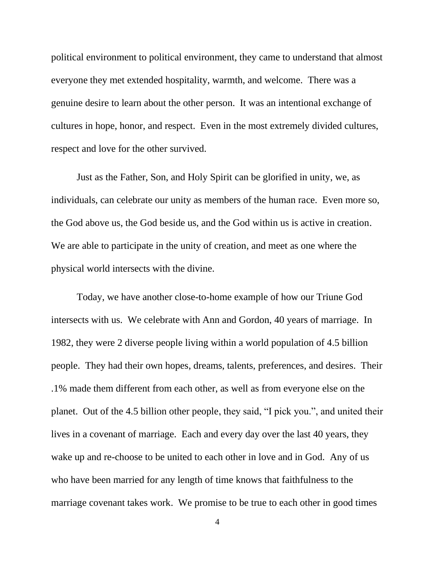political environment to political environment, they came to understand that almost everyone they met extended hospitality, warmth, and welcome. There was a genuine desire to learn about the other person. It was an intentional exchange of cultures in hope, honor, and respect. Even in the most extremely divided cultures, respect and love for the other survived.

Just as the Father, Son, and Holy Spirit can be glorified in unity, we, as individuals, can celebrate our unity as members of the human race. Even more so, the God above us, the God beside us, and the God within us is active in creation. We are able to participate in the unity of creation, and meet as one where the physical world intersects with the divine.

Today, we have another close-to-home example of how our Triune God intersects with us. We celebrate with Ann and Gordon, 40 years of marriage. In 1982, they were 2 diverse people living within a world population of 4.5 billion people. They had their own hopes, dreams, talents, preferences, and desires. Their .1% made them different from each other, as well as from everyone else on the planet. Out of the 4.5 billion other people, they said, "I pick you.", and united their lives in a covenant of marriage. Each and every day over the last 40 years, they wake up and re-choose to be united to each other in love and in God. Any of us who have been married for any length of time knows that faithfulness to the marriage covenant takes work. We promise to be true to each other in good times